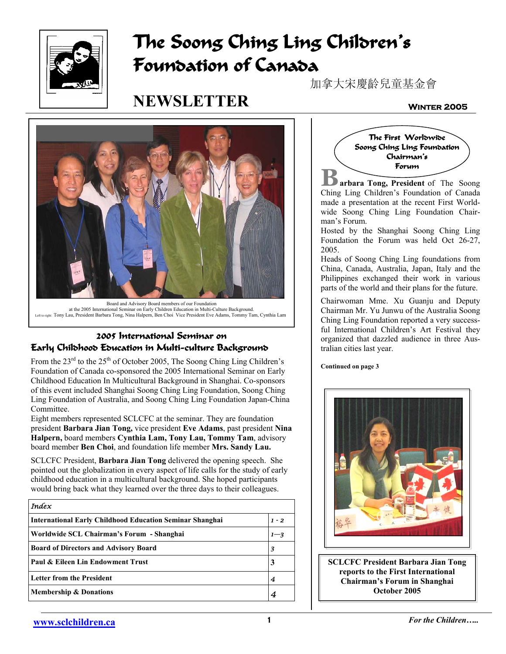

# **The Soong Ching Ling Children's Foundation of Canada**

# **NEWSLETTER**

加拿大宋慶齡兒童基金會

#### **Winter 2005**



at the 2005 International Seminar on Early Children Education in Multi-Culture Background. Left to right: Tony Lau, President Barbara Tong, Nina Halpern, Ben Choi Vice President Eve Adams, Tommy Tam, Cynthia Lam

# **2005 International Seminar on Early Childhood Education in Multi-culture Background**

From the  $23<sup>rd</sup>$  to the  $25<sup>th</sup>$  of October 2005, The Soong Ching Ling Children's Foundation of Canada co-sponsored the 2005 International Seminar on Early Childhood Education In Multicultural Background in Shanghai. Co-sponsors of this event included Shanghai Soong Ching Ling Foundation, Soong Ching Ling Foundation of Australia, and Soong Ching Ling Foundation Japan-China Committee.

Eight members represented SCLCFC at the seminar. They are foundation president **Barbara Jian Tong,** vice president **Eve Adams**, past president **Nina Halpern,** board members **Cynthia Lam, Tony Lau, Tommy Tam**, advisory board member **Ben Choi**, and foundation life member **Mrs. Sandy Lau.**

SCLCFC President, **Barbara Jian Tong** delivered the opening speech. She pointed out the globalization in every aspect of life calls for the study of early childhood education in a multicultural background. She hoped participants would bring back what they learned over the three days to their colleagues.

| <b>Index</b>                                                    |         |
|-----------------------------------------------------------------|---------|
| <b>International Early Childhood Education Seminar Shanghai</b> | $1 - 2$ |
| Worldwide SCL Chairman's Forum - Shanghai                       | $1 - 3$ |
| <b>Board of Directors and Advisory Board</b>                    | 3       |
| Paul & Eileen Lin Endowment Trust                               | 3       |
| <b>Letter from the President</b>                                | 4       |
| <b>Membership &amp; Donations</b>                               |         |



**B arbara Tong, President** of The Soong Ching Ling Children's Foundation of Canada made a presentation at the recent First Worldwide Soong Ching Ling Foundation Chairman's Forum.

Hosted by the Shanghai Soong Ching Ling Foundation the Forum was held Oct 26-27, 2005.

Heads of Soong Ching Ling foundations from China, Canada, Australia, Japan, Italy and the Philippines exchanged their work in various parts of the world and their plans for the future.

Chairwoman Mme. Xu Guanju and Deputy Chairman Mr. Yu Junwu of the Australia Soong Ching Ling Foundation reported a very successful International Children's Art Festival they organized that dazzled audience in three Australian cities last year.

**Continued on page 3** 



**SCLCFC President Barbara Jian Tong reports to the First International Chairman's Forum in Shanghai October 2005**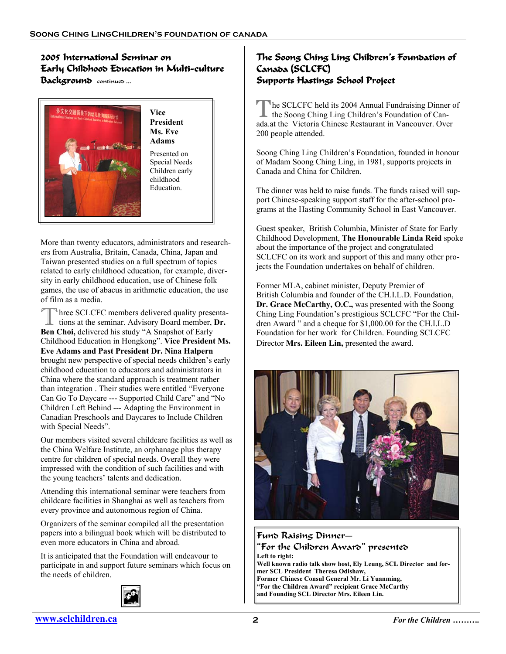## **2005 International Seminar on Early Childhood Education in Multi-culture Background** continued ...



**President Ms. Eve**  Presented on Special Needs Children early childhood

More than twenty educators, administrators and researchers from Australia, Britain, Canada, China, Japan and Taiwan presented studies on a full spectrum of topics related to early childhood education, for example, diversity in early childhood education, use of Chinese folk games, the use of abacus in arithmetic education, the use of film as a media.

Three SCLCFC members delivered quality presentations at the seminar. Advisory Board member, **Dr. Ben Choi,** delivered his study "A Snapshot of Early Childhood Education in Hongkong". **Vice President Ms. Eve Adams and Past President Dr. Nina Halpern** brought new perspective of special needs children's early childhood education to educators and administrators in China where the standard approach is treatment rather than integration . Their studies were entitled "Everyone Can Go To Daycare --- Supported Child Care" and "No Children Left Behind --- Adapting the Environment in Canadian Preschools and Daycares to Include Children with Special Needs".

Our members visited several childcare facilities as well as the China Welfare Institute, an orphanage plus therapy centre for children of special needs. Overall they were impressed with the condition of such facilities and with the young teachers' talents and dedication.

Attending this international seminar were teachers from childcare facilities in Shanghai as well as teachers from every province and autonomous region of China.

Organizers of the seminar compiled all the presentation papers into a bilingual book which will be distributed to even more educators in China and abroad.

It is anticipated that the Foundation will endeavour to participate in and support future seminars which focus on the needs of children.

### **The Soong Ching Ling Children's Foundation of Canada (SCLCFC) Supports Hastings School Project**

The SCLCFC held its 2004 Annual Fundraising Dinner of the Soong Ching Ling Children's Foundation of Canada.at the Victoria Chinese Restaurant in Vancouver. Over 200 people attended.

Soong Ching Ling Children's Foundation, founded in honour of Madam Soong Ching Ling, in 1981, supports projects in Canada and China for Children.

The dinner was held to raise funds. The funds raised will support Chinese-speaking support staff for the after-school programs at the Hasting Community School in East Vancouver.

Guest speaker, British Columbia, Minister of State for Early Childhood Development, **The Honourable Linda Reid** spoke about the importance of the project and congratulated SCLCFC on its work and support of this and many other projects the Foundation undertakes on behalf of children.

Former MLA, cabinet minister, Deputy Premier of British Columbia and founder of the CH.I.L.D. Foundation, **Dr. Grace McCarthy, O.C.,** was presented with the Soong Ching Ling Foundation's prestigious SCLCFC "For the Children Award " and a cheque for \$1,000.00 for the CH.I.L.D Foundation for her work for Children. Founding SCLCFC Director **Mrs. Eileen Lin,** presented the award.



#### Fund Raising Dinner— "For the Children Award" presented **Left to right: Well known radio talk show host, Ely Leung, SCL Director and former SCL President Theresa Odishaw, Former Chinese Consul General Mr. Li Yuanming, "For the Children Award" recipient Grace McCarthy and Founding SCL Director Mrs. Eileen Lin.**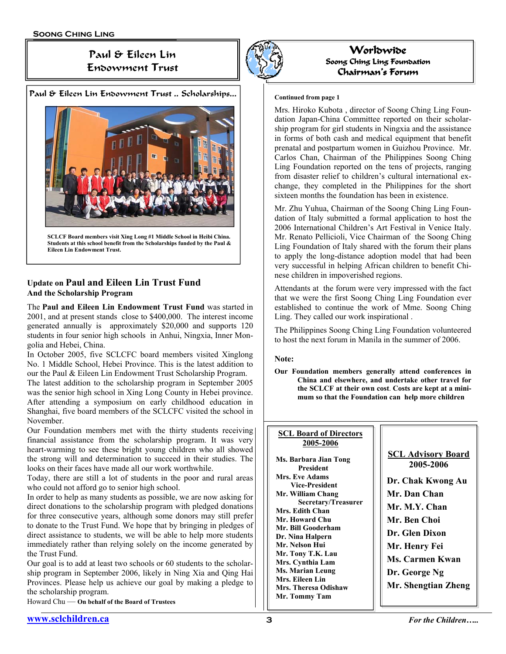# Paul & Eileen Lin Endowment Trust

#### Paul & Eileen Lin Endowment Trust .. Scholarships...



**SCLCF Board members visit Xing Long #1 Middle School in Heibi China. Students at this school benefit from the Scholarships funded by the Paul & Eileen Lin Endowment Trust.** 

### **Update on Paul and Eileen Lin Trust Fund And the Scholarship Program**

The **Paul and Eileen Lin Endowment Trust Fund** was started in 2001, and at present stands close to \$400,000. The interest income generated annually is approximately \$20,000 and supports 120 students in four senior high schools in Anhui, Ningxia, Inner Mongolia and Hebei, China.

In October 2005, five SCLCFC board members visited Xinglong No. 1 Middle School, Hebei Province. This is the latest addition to our the Paul & Eileen Lin Endowment Trust Scholarship Program.

The latest addition to the scholarship program in September 2005 was the senior high school in Xing Long County in Hebei province. After attending a symposium on early childhood education in Shanghai, five board members of the SCLCFC visited the school in November.

Our Foundation members met with the thirty students receiving financial assistance from the scholarship program. It was very heart-warming to see these bright young children who all showed the strong will and determination to succeed in their studies. The looks on their faces have made all our work worthwhile.

Today, there are still a lot of students in the poor and rural areas who could not afford go to senior high school.

In order to help as many students as possible, we are now asking for direct donations to the scholarship program with pledged donations for three consecutive years, although some donors may still prefer to donate to the Trust Fund. We hope that by bringing in pledges of direct assistance to students, we will be able to help more students immediately rather than relying solely on the income generated by the Trust Fund.

Our goal is to add at least two schools or 60 students to the scholarship program in September 2006, likely in Ning Xia and Qing Hai Provinces. Please help us achieve our goal by making a pledge to the scholarship program.

Howard Chu — **On behalf of the Board of Trustees**



**Worldwide Soong Ching Ling Foundation Chairman's Forum** 

#### **Continued from page 1**

Mrs. Hiroko Kubota , director of Soong Ching Ling Foundation Japan-China Committee reported on their scholarship program for girl students in Ningxia and the assistance in forms of both cash and medical equipment that benefit prenatal and postpartum women in Guizhou Province. Mr. Carlos Chan, Chairman of the Philippines Soong Ching Ling Foundation reported on the tens of projects, ranging from disaster relief to children's cultural international exchange, they completed in the Philippines for the short sixteen months the foundation has been in existence.

Mr. Zhu Yuhua, Chairman of the Soong Ching Ling Foundation of Italy submitted a formal application to host the 2006 International Children's Art Festival in Venice Italy. Mr. Renato Pellicioli, Vice Chairman of the Soong Ching Ling Foundation of Italy shared with the forum their plans to apply the long-distance adoption model that had been very successful in helping African children to benefit Chinese children in impoverished regions.

Attendants at the forum were very impressed with the fact that we were the first Soong Ching Ling Foundation ever established to continue the work of Mme. Soong Ching Ling. They called our work inspirational .

The Philippines Soong Ching Ling Foundation volunteered to host the next forum in Manila in the summer of 2006.

#### **Note:**

**Our Foundation members generally attend conferences in China and elsewhere, and undertake other travel for the SCLCF at their own cost**. **Costs are kept at a minimum so that the Foundation can help more children**

| <b>SCL Board of Directors</b><br>2005-2006 |                                        |
|--------------------------------------------|----------------------------------------|
| Ms. Barbara Jian Tong<br>President         | <b>SCL Advisory Board</b><br>2005-2006 |
| Mrs. Eve Adams<br><b>Vice-President</b>    | Dr. Chak Kwong Au                      |
| Mr. William Chang                          | Mr. Dan Chan                           |
| Secretary/Treasurer<br>Mrs. Edith Chan     | Mr. M.Y. Chan                          |
| Mr. Howard Chu                             | Mr. Ben Choi                           |
| Mr. Bill Gooderham<br>Dr. Nina Halpern     | Dr. Glen Dixon                         |
| Mr. Nelson Hui                             | Mr. Henry Fei                          |
| Mr. Tony T.K. Lau<br>Mrs. Cynthia Lam      | Ms. Carmen Kwan                        |
| <b>Ms. Marian Leung</b>                    | Dr. George Ng                          |
| Mrs. Eileen Lin                            | Mr. Shengtian Zheng                    |
| Mrs. Theresa Odishaw                       |                                        |
| Mr. Tommy Tam                              |                                        |